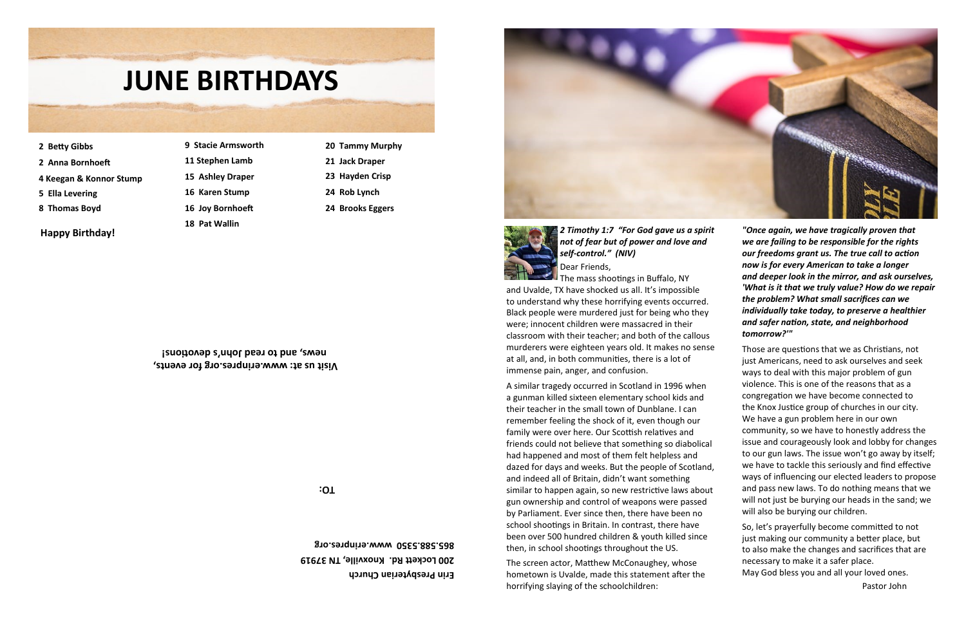## **Visit us at: www.erinpres.org for events, s devotions! ' news, and to read John**

**TO:**

- **9 Stacie Armsworth 11 Stephen Lamb 15 Ashley Draper 16 Karen Stump 16 Joy Bornhoeft 18 Pat Wallin**
- **20 Tammy Murphy 21 Jack Draper**
	- **23 Hayden Crisp**
	- **24 Rob Lynch**
	- **24 Brooks Eggers**
- **2 Betty Gibbs**
- **2 Anna Bornhoeft**
- **4 Keegan & Konnor Stump**
- **5 Ella Levering**
- **8 Thomas Boyd**

*"Once again, we have tragically proven that we are failing to be responsible for the rights our freedoms grant us. The true call to action now is for every American to take a longer and deeper look in the mirror, and ask ourselves, 'What is it that we truly value? How do we repair the problem? What small sacrifices can we individually take today, to preserve a healthier and safer nation, state, and neighborhood tomorrow?'" 2 Timothy 1:7 "For God gave us a spirit not of fear but of power and love and self-control." (NIV)* Dear Friends, **The mass shootings in Buffalo, NY** 





**Erin Presbyterian Church 200 Lockett Rd. Knoxville, TN 37919 865.588.5350 www.erinpres.org**

**Happy Birthday!**

# **JUNE BIRTHDAYS AND AN INC. JUNE BIRTHDAYS**

to also make the changes and sacrifices that are necessary to make it a safer place. May God bless you and all your loved ones.

Pastor John

Those are questions that we as Christians, not just Americans, need to ask ourselves and seek ways to deal with this major problem of gun violence. This is one of the reasons that as a congregation we have become connected to the Knox Justice group of churches in our city. We have a gun problem here in our own community, so we have to honestly address the issue and courageously look and lobby for changes to our gun laws. The issue won't go away by itself; we have to tackle this seriously and find effective ways of influencing our elected leaders to propose and pass new laws. To do nothing means that we will not just be burying our heads in the sand; we will also be burying our children. So, let's prayerfully become committed to not just making our community a better place, but at all, and, in both communities, there is a lot of immense pain, anger, and confusion. A similar tragedy occurred in Scotland in 1996 when a gunman killed sixteen elementary school kids and their teacher in the small town of Dunblane. I can remember feeling the shock of it, even though our family were over here. Our Scottish relatives and friends could not believe that something so diabolical had happened and most of them felt helpless and dazed for days and weeks. But the people of Scotland, and indeed all of Britain, didn't want something similar to happen again, so new restrictive laws about gun ownership and control of weapons were passed by Parliament. Ever since then, there have been no school shootings in Britain. In contrast, there have been over 500 hundred children & youth killed since then, in school shootings throughout the US.

and Uvalde, TX have shocked us all. It's impossible to understand why these horrifying events occurred. Black people were murdered just for being who they were; innocent children were massacred in their classroom with their teacher; and both of the callous murderers were eighteen years old. It makes no sense

The screen actor, Matthew McConaughey, whose hometown is Uvalde, made this statement after the horrifying slaying of the schoolchildren: